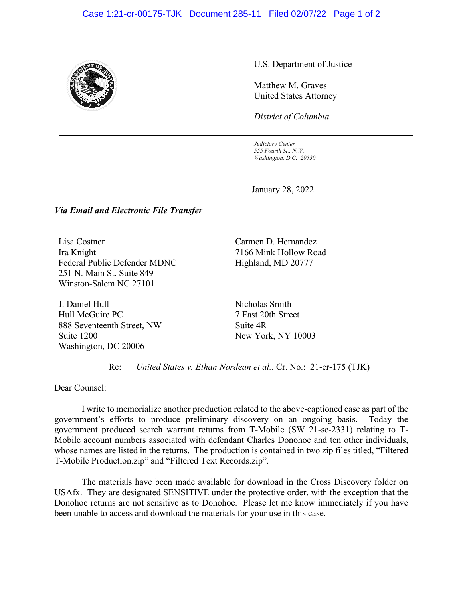## Case 1:21-cr-00175-TJK Document 285-11 Filed 02/07/22 Page 1 of 2



U.S. Department of Justice

Matthew M. Graves United States Attorney

*District of Columbia*

*Judiciary Center 555 Fourth St., N.W. Washington, D.C. 20530*

January 28, 2022

## *Via Email and Electronic File Transfer*

Lisa Costner Ira Knight Federal Public Defender MDNC 251 N. Main St. Suite 849 Winston-Salem NC 27101

J. Daniel Hull Hull McGuire PC 888 Seventeenth Street, NW Suite 1200 Washington, DC 20006

Carmen D. Hernandez 7166 Mink Hollow Road Highland, MD 20777

Nicholas Smith 7 East 20th Street Suite 4R New York, NY 10003

Re: *United States v. Ethan Nordean et al.*, Cr. No.: 21-cr-175 (TJK)

Dear Counsel:

I write to memorialize another production related to the above-captioned case as part of the government's efforts to produce preliminary discovery on an ongoing basis. Today the government produced search warrant returns from T-Mobile (SW 21-sc-2331) relating to T-Mobile account numbers associated with defendant Charles Donohoe and ten other individuals, whose names are listed in the returns. The production is contained in two zip files titled, "Filtered T-Mobile Production.zip" and "Filtered Text Records.zip".

The materials have been made available for download in the Cross Discovery folder on USAfx. They are designated SENSITIVE under the protective order, with the exception that the Donohoe returns are not sensitive as to Donohoe. Please let me know immediately if you have been unable to access and download the materials for your use in this case.